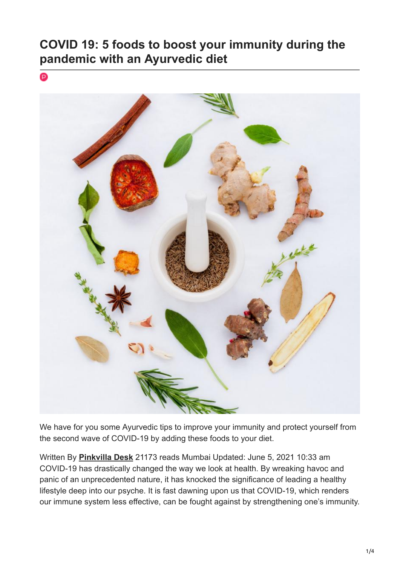# **COVID 19: 5 foods to boost your immunity during the pandemic with an Ayurvedic diet**



We have for you some Ayurvedic tips to improve your immunity and protect yourself from the second wave of COVID-19 by adding these foods to your diet.

Written By **Pinkvilla Desk** 21173 reads Mumbai Updated: June 5, 2021 10:33 am COVID-19 has drastically changed the way we look at health. By wreaking havoc and panic of an unprecedented nature, it has knocked the significance of leading a healthy lifestyle deep into our psyche. It is fast dawning upon us that COVID-19, which renders our immune system less effective, can be fought against by strengthening one's immunity.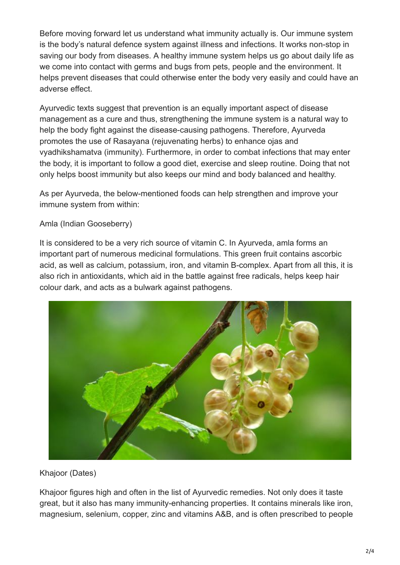Before moving forward let us understand what immunity actually is. Our immune system is the body's natural defence system against illness and infections. It works non-stop in saving our body from diseases. A healthy immune system helps us go about daily life as we come into contact with germs and bugs from pets, people and the environment. It helps prevent diseases that could otherwise enter the body very easily and could have an adverse effect.

Ayurvedic texts suggest that prevention is an equally important aspect of disease management as a cure and thus, strengthening the immune system is a natural way to help the body fight against the disease-causing pathogens. Therefore, Ayurveda promotes the use of Rasayana (rejuvenating herbs) to enhance ojas and vyadhikshamatva (immunity). Furthermore, in order to combat infections that may enter the body, it is important to follow a good diet, exercise and sleep routine. Doing that not only helps boost immunity but also keeps our mind and body balanced and healthy.

As per Ayurveda, the below-mentioned foods can help strengthen and improve your immune system from within:

## Amla (Indian Gooseberry)

It is considered to be a very rich source of vitamin C. In Ayurveda, amla forms an important part of numerous medicinal formulations. This green fruit contains ascorbic acid, as well as calcium, potassium, iron, and vitamin B-complex. Apart from all this, it is also rich in antioxidants, which aid in the battle against free radicals, helps keep hair colour dark, and acts as a bulwark against pathogens.



Khajoor (Dates)

Khajoor figures high and often in the list of Ayurvedic remedies. Not only does it taste great, but it also has many immunity-enhancing properties. It contains minerals like iron, magnesium, selenium, copper, zinc and vitamins A&B, and is often prescribed to people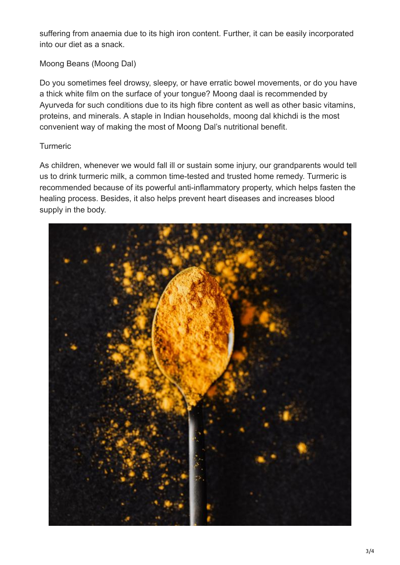suffering from anaemia due to its high iron content. Further, it can be easily incorporated into our diet as a snack.

## Moong Beans (Moong Dal)

Do you sometimes feel drowsy, sleepy, or have erratic bowel movements, or do you have a thick white film on the surface of your tongue? Moong daal is recommended by Ayurveda for such conditions due to its high fibre content as well as other basic vitamins, proteins, and minerals. A staple in Indian households, moong dal khichdi is the most convenient way of making the most of Moong Dal's nutritional benefit.

### Turmeric

As children, whenever we would fall ill or sustain some injury, our grandparents would tell us to drink turmeric milk, a common time-tested and trusted home remedy. Turmeric is recommended because of its powerful anti-inflammatory property, which helps fasten the healing process. Besides, it also helps prevent heart diseases and increases blood supply in the body.